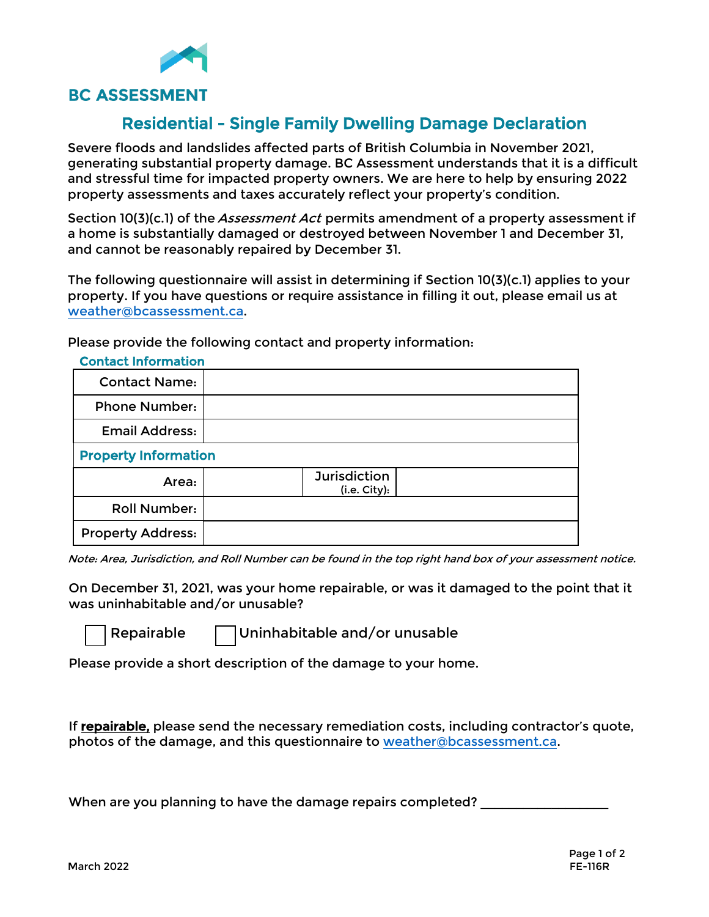

## Residential - Single Family Dwelling Damage Declaration

Severe floods and landslides affected parts of British Columbia in November 2021, generating substantial property damage. BC Assessment understands that it is a difficult and stressful time for impacted property owners. We are here to help by ensuring 2022 property assessments and taxes accurately reflect your property's condition.

Section 10(3)(c.1) of the *Assessment Act* permits amendment of a property assessment if a home is substantially damaged or destroyed between November 1 and December 31, and cannot be reasonably repaired by December 31.

The following questionnaire will assist in determining if Section 10(3)(c.1) applies to your property. If you have questions or require assistance in filling it out, please email us at [weather@bcassessment.ca](mailto:weather@bcassessment.ca).

Please provide the following contact and property information:

| <b>Contact Information</b>  |                                     |  |  |
|-----------------------------|-------------------------------------|--|--|
| <b>Contact Name:</b>        |                                     |  |  |
| <b>Phone Number:</b>        |                                     |  |  |
| <b>Email Address:</b>       |                                     |  |  |
| <b>Property Information</b> |                                     |  |  |
| Area:                       | <b>Jurisdiction</b><br>(i.e. City): |  |  |
| <b>Roll Number:</b>         |                                     |  |  |
| <b>Property Address:</b>    |                                     |  |  |

Note: Area, Jurisdiction, and Roll Number can be found in the top right hand box of your assessment notice.

On December 31, 2021, was your home repairable, or was it damaged to the point that it was uninhabitable and/or unusable?

Repairable Uninhabitable and/or unusable

Please provide a short description of the damage to your home.

If repairable, please send the necessary remediation costs, including contractor's quote, photos of the damage, and this questionnaire to [weather@bcassessment.ca.](mailto:weather@bcassessment.ca)

When are you planning to have the damage repairs completed? \_\_\_\_\_\_\_\_\_\_\_\_\_\_\_\_\_\_\_\_